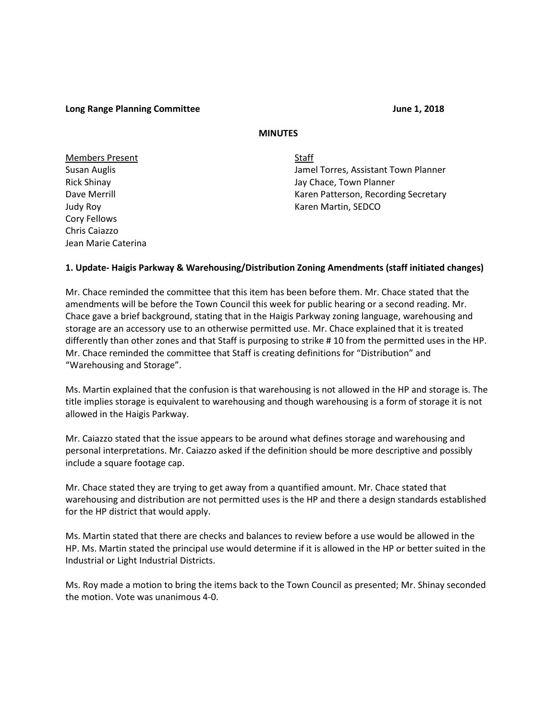#### **Long Range Planning Committee June 1, 2018**

## **MINUTES**

Members Present Staff Cory Fellows Chris Caiazzo Jean Marie Caterina

Susan Auglis Jamel Torres, Assistant Town Planner Rick Shinay **National Struck Shinay** Jay Chace, Town Planner Dave Merrill **National According Secretary** Karen Patterson, Recording Secretary Judy Roy November 2012 12:00 November 2013 12:00 November 2013 12:00 November 2013 12:00 November 2013 12:00 No

### **1. Update- Haigis Parkway & Warehousing/Distribution Zoning Amendments (staff initiated changes)**

Mr. Chace reminded the committee that this item has been before them. Mr. Chace stated that the amendments will be before the Town Council this week for public hearing or a second reading. Mr. Chace gave a brief background, stating that in the Haigis Parkway zoning language, warehousing and storage are an accessory use to an otherwise permitted use. Mr. Chace explained that it is treated differently than other zones and that Staff is purposing to strike # 10 from the permitted uses in the HP. Mr. Chace reminded the committee that Staff is creating definitions for "Distribution" and "Warehousing and Storage".

Ms. Martin explained that the confusion is that warehousing is not allowed in the HP and storage is. The title implies storage is equivalent to warehousing and though warehousing is a form of storage it is not allowed in the Haigis Parkway.

Mr. Caiazzo stated that the issue appears to be around what defines storage and warehousing and personal interpretations. Mr. Caiazzo asked if the definition should be more descriptive and possibly include a square footage cap.

Mr. Chace stated they are trying to get away from a quantified amount. Mr. Chace stated that warehousing and distribution are not permitted uses is the HP and there a design standards established for the HP district that would apply.

Ms. Martin stated that there are checks and balances to review before a use would be allowed in the HP. Ms. Martin stated the principal use would determine if it is allowed in the HP or better suited in the Industrial or Light Industrial Districts.

Ms. Roy made a motion to bring the items back to the Town Council as presented; Mr. Shinay seconded the motion. Vote was unanimous 4-0.